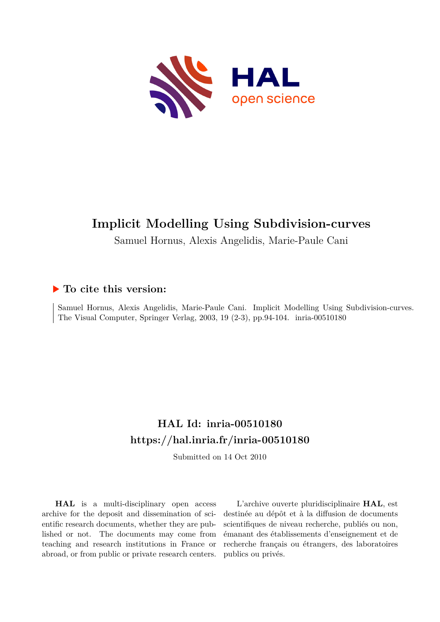

# **Implicit Modelling Using Subdivision-curves**

Samuel Hornus, Alexis Angelidis, Marie-Paule Cani

## **To cite this version:**

Samuel Hornus, Alexis Angelidis, Marie-Paule Cani. Implicit Modelling Using Subdivision-curves. The Visual Computer, Springer Verlag, 2003, 19 (2-3), pp.94-104. inria-00510180

# **HAL Id: inria-00510180 <https://hal.inria.fr/inria-00510180>**

Submitted on 14 Oct 2010

**HAL** is a multi-disciplinary open access archive for the deposit and dissemination of scientific research documents, whether they are published or not. The documents may come from teaching and research institutions in France or abroad, or from public or private research centers.

L'archive ouverte pluridisciplinaire **HAL**, est destinée au dépôt et à la diffusion de documents scientifiques de niveau recherche, publiés ou non, émanant des établissements d'enseignement et de recherche français ou étrangers, des laboratoires publics ou privés.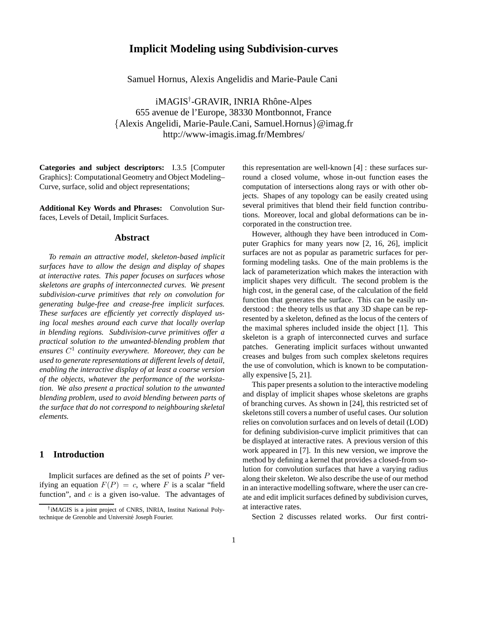## **Implicit Modeling using Subdivision-curves**

Samuel Hornus, Alexis Angelidis and Marie-Paule Cani

iMAGIS<sup>†</sup>-GRAVIR, INRIA Rhône-Alpes 655 avenue de l'Europe, 38330 Montbonnot, France {Alexis Angelidi, Marie-Paule.Cani, Samuel.Hornus}@imag.fr http://www-imagis.imag.fr/Membres/

**Categories and subject descriptors:** I.3.5 [Computer Graphics]: Computational Geometry and Object Modeling– Curve, surface, solid and object representations;

**Additional Key Words and Phrases:** Convolution Surfaces, Levels of Detail, Implicit Surfaces.

## **Abstract**

*To remain an attractive model, skeleton-based implicit surfaces have to allow the design and display of shapes at interactive rates. This paper focuses on surfaces whose skeletons are graphs of interconnected curves. We present subdivision-curve primitives that rely on convolution for generating bulge-free and crease-free implicit surfaces. These surfaces are efficiently yet correctly displayed using local meshes around each curve that locally overlap in blending regions. Subdivision-curve primitives offer a practical solution to the unwanted-blending problem that ensures* C 1 *continuity everywhere. Moreover, they can be used to generate representations at different levels of detail, enabling the interactive display of at least a coarse version of the objects, whatever the performance of the workstation. We also present a practical solution to the unwanted blending problem, used to avoid blending between parts of the surface that do not correspond to neighbouring skeletal elements.*

## **1 Introduction**

Implicit surfaces are defined as the set of points  $P$  verifying an equation  $F(P) = c$ , where F is a scalar "field" function", and  $c$  is a given iso-value. The advantages of this representation are well-known [4] : these surfaces surround a closed volume, whose in-out function eases the computation of intersections along rays or with other objects. Shapes of any topology can be easily created using several primitives that blend their field function contributions. Moreover, local and global deformations can be incorporated in the construction tree.

However, although they have been introduced in Computer Graphics for many years now [2, 16, 26], implicit surfaces are not as popular as parametric surfaces for performing modeling tasks. One of the main problems is the lack of parameterization which makes the interaction with implicit shapes very difficult. The second problem is the high cost, in the general case, of the calculation of the field function that generates the surface. This can be easily understood : the theory tells us that any 3D shape can be represented by a skeleton, defined as the locus of the centers of the maximal spheres included inside the object [1]. This skeleton is a graph of interconnected curves and surface patches. Generating implicit surfaces without unwanted creases and bulges from such complex skeletons requires the use of convolution, which is known to be computationally expensive [5, 21].

This paper presents a solution to the interactive modeling and display of implicit shapes whose skeletons are graphs of branching curves. As shown in [24], this restricted set of skeletons still covers a number of useful cases. Our solution relies on convolution surfaces and on levels of detail (LOD) for defining subdivision-curve implicit primitives that can be displayed at interactive rates. A previous version of this work appeared in [7]. In this new version, we improve the method by defining a kernel that provides a closed-from solution for convolution surfaces that have a varying radius along their skeleton. We also describe the use of our method in an interactive modelling software, where the user can create and edit implicit surfaces defined by subdivision curves, at interactive rates.

Section 2 discusses related works. Our first contri-

<sup>†</sup> iMAGIS is a joint project of CNRS, INRIA, Institut National Polytechnique de Grenoble and Université Joseph Fourier.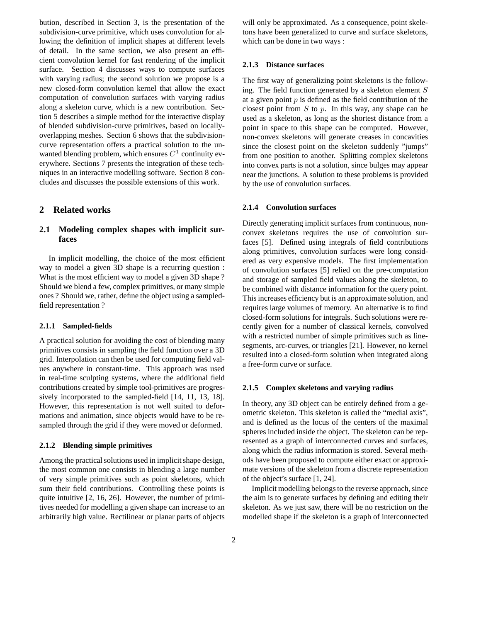bution, described in Section 3, is the presentation of the subdivision-curve primitive, which uses convolution for allowing the definition of implicit shapes at different levels of detail. In the same section, we also present an efficient convolution kernel for fast rendering of the implicit surface. Section 4 discusses ways to compute surfaces with varying radius; the second solution we propose is a new closed-form convolution kernel that allow the exact computation of convolution surfaces with varying radius along a skeleton curve, which is a new contribution. Section 5 describes a simple method for the interactive display of blended subdivision-curve primitives, based on locallyoverlapping meshes. Section 6 shows that the subdivisioncurve representation offers a practical solution to the unwanted blending problem, which ensures  $C<sup>1</sup>$  continuity everywhere. Sections 7 presents the integration of these techniques in an interactive modelling software. Section 8 concludes and discusses the possible extensions of this work.

## **2 Related works**

## **2.1 Modeling complex shapes with implicit surfaces**

In implicit modelling, the choice of the most efficient way to model a given 3D shape is a recurring question : What is the most efficient way to model a given 3D shape ? Should we blend a few, complex primitives, or many simple ones ? Should we, rather, define the object using a sampledfield representation ?

#### **2.1.1 Sampled-fields**

A practical solution for avoiding the cost of blending many primitives consists in sampling the field function over a 3D grid. Interpolation can then be used for computing field values anywhere in constant-time. This approach was used in real-time sculpting systems, where the additional field contributions created by simple tool-primitives are progressively incorporated to the sampled-field [14, 11, 13, 18]. However, this representation is not well suited to deformations and animation, since objects would have to be resampled through the grid if they were moved or deformed.

#### **2.1.2 Blending simple primitives**

Among the practical solutions used in implicit shape design, the most common one consists in blending a large number of very simple primitives such as point skeletons, which sum their field contributions. Controlling these points is quite intuitive [2, 16, 26]. However, the number of primitives needed for modelling a given shape can increase to an arbitrarily high value. Rectilinear or planar parts of objects

will only be approximated. As a consequence, point skeletons have been generalized to curve and surface skeletons, which can be done in two ways :

#### **2.1.3 Distance surfaces**

The first way of generalizing point skeletons is the following. The field function generated by a skeleton element  $S$ at a given point  $p$  is defined as the field contribution of the closest point from  $S$  to  $p$ . In this way, any shape can be used as a skeleton, as long as the shortest distance from a point in space to this shape can be computed. However, non-convex skeletons will generate creases in concavities since the closest point on the skeleton suddenly "jumps" from one position to another. Splitting complex skeletons into convex parts is not a solution, since bulges may appear near the junctions. A solution to these problems is provided by the use of convolution surfaces.

#### **2.1.4 Convolution surfaces**

Directly generating implicit surfaces from continuous, nonconvex skeletons requires the use of convolution surfaces [5]. Defined using integrals of field contributions along primitives, convolution surfaces were long considered as very expensive models. The first implementation of convolution surfaces [5] relied on the pre-computation and storage of sampled field values along the skeleton, to be combined with distance information for the query point. This increases efficiency but is an approximate solution, and requires large volumes of memory. An alternative is to find closed-form solutions for integrals. Such solutions were recently given for a number of classical kernels, convolved with a restricted number of simple primitives such as linesegments, arc-curves, or triangles [21]. However, no kernel resulted into a closed-form solution when integrated along a free-form curve or surface.

#### **2.1.5 Complex skeletons and varying radius**

In theory, any 3D object can be entirely defined from a geometric skeleton. This skeleton is called the "medial axis", and is defined as the locus of the centers of the maximal spheres included inside the object. The skeleton can be represented as a graph of interconnected curves and surfaces, along which the radius information is stored. Several methods have been proposed to compute either exact or approximate versions of the skeleton from a discrete representation of the object's surface [1, 24].

Implicit modelling belongs to the reverse approach, since the aim is to generate surfaces by defining and editing their skeleton. As we just saw, there will be no restriction on the modelled shape if the skeleton is a graph of interconnected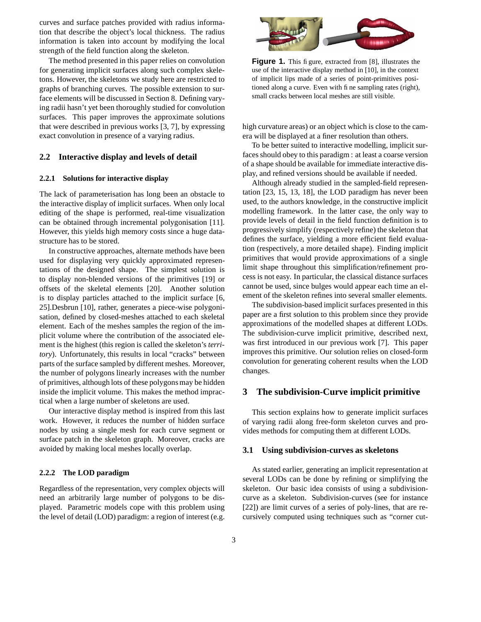curves and surface patches provided with radius information that describe the object's local thickness. The radius information is taken into account by modifying the local strength of the field function along the skeleton.

The method presented in this paper relies on convolution for generating implicit surfaces along such complex skeletons. However, the skeletons we study here are restricted to graphs of branching curves. The possible extension to surface elements will be discussed in Section 8. Defining varying radii hasn't yet been thoroughly studied for convolution surfaces. This paper improves the approximate solutions that were described in previous works [3, 7], by expressing exact convolution in presence of a varying radius.

#### **2.2 Interactive display and levels of detail**

#### **2.2.1 Solutions for interactive display**

The lack of parameterisation has long been an obstacle to the interactive display of implicit surfaces. When only local editing of the shape is performed, real-time visualization can be obtained through incremental polygonisation [11]. However, this yields high memory costs since a huge datastructure has to be stored.

In constructive approaches, alternate methods have been used for displaying very quickly approximated representations of the designed shape. The simplest solution is to display non-blended versions of the primitives [19] or offsets of the skeletal elements [20]. Another solution is to display particles attached to the implicit surface [6, 25].Desbrun [10], rather, generates a piece-wise polygonisation, defined by closed-meshes attached to each skeletal element. Each of the meshes samples the region of the implicit volume where the contribution of the associated element is the highest (this region is called the skeleton's *territory*). Unfortunately, this results in local "cracks" between parts of the surface sampled by different meshes. Moreover, the number of polygons linearly increases with the number of primitives, although lots of these polygons may be hidden inside the implicit volume. This makes the method impractical when a large number of skeletons are used.

Our interactive display method is inspired from this last work. However, it reduces the number of hidden surface nodes by using a single mesh for each curve segment or surface patch in the skeleton graph. Moreover, cracks are avoided by making local meshes locally overlap.

#### **2.2.2 The LOD paradigm**

Regardless of the representation, very complex objects will need an arbitrarily large number of polygons to be displayed. Parametric models cope with this problem using the level of detail (LOD) paradigm: a region of interest (e.g.



**Figure 1.** This figure, extracted from [8], illustrates the use of the interactive display method in [10], in the context of implicit lips made of a series of point-primitives positioned along a curve. Even with fine sampling rates (right), small cracks between local meshes are still visible.

high curvature areas) or an object which is close to the camera will be displayed at a finer resolution than others.

To be better suited to interactive modelling, implicit surfaces should obey to this paradigm : at least a coarse version of a shape should be available for immediate interactive display, and refined versions should be available if needed.

Although already studied in the sampled-field representation [23, 15, 13, 18], the LOD paradigm has never been used, to the authors knowledge, in the constructive implicit modelling framework. In the latter case, the only way to provide levels of detail in the field function definition is to progressively simplify (respectively refine) the skeleton that defines the surface, yielding a more efficient field evaluation (respectively, a more detailed shape). Finding implicit primitives that would provide approximations of a single limit shape throughout this simplification/refinement process is not easy. In particular, the classical distance surfaces cannot be used, since bulges would appear each time an element of the skeleton refines into several smaller elements.

The subdivision-based implicit surfaces presented in this paper are a first solution to this problem since they provide approximations of the modelled shapes at different LODs. The subdivision-curve implicit primitive, described next, was first introduced in our previous work [7]. This paper improves this primitive. Our solution relies on closed-form convolution for generating coherent results when the LOD changes.

## **3 The subdivision-Curve implicit primitive**

This section explains how to generate implicit surfaces of varying radii along free-form skeleton curves and provides methods for computing them at different LODs.

#### **3.1 Using subdivision-curves as skeletons**

As stated earlier, generating an implicit representation at several LODs can be done by refining or simplifying the skeleton. Our basic idea consists of using a subdivisioncurve as a skeleton. Subdivision-curves (see for instance [22]) are limit curves of a series of poly-lines, that are recursively computed using techniques such as "corner cut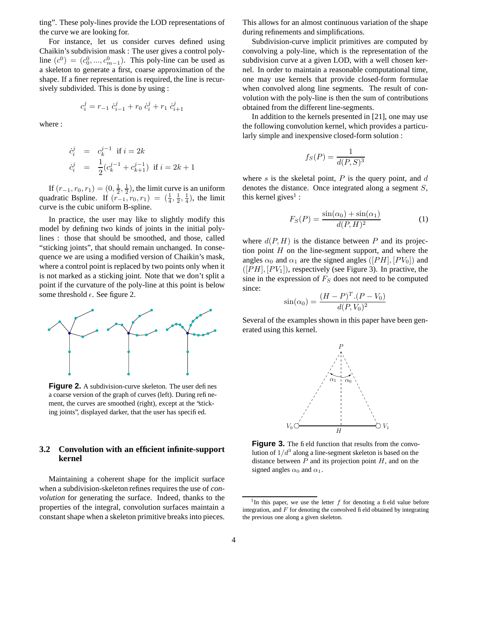ting". These poly-lines provide the LOD representations of the curve we are looking for.

For instance, let us consider curves defined using Chaikin's subdivision mask : The user gives a control polyline  $(c^0) = (c_0^0, ..., c_{m-1}^0)$ . This poly-line can be used as a skeleton to generate a first, coarse approximation of the shape. If a finer representation is required, the line is recursively subdivided. This is done by using :

$$
c_i^j = r_{-1} \dot{c}_{i-1}^j + r_0 \dot{c}_i^j + r_1 \dot{c}_{i+1}^j
$$

where :

$$
\begin{array}{rcl}\n\dot{c}_i^j & = & c_k^{j-1} \text{ if } i = 2k \\
\dot{c}_i^j & = & \frac{1}{2} (c_k^{j-1} + c_{k+1}^{j-1}) \text{ if } i = 2k+1\n\end{array}
$$

If  $(r_{-1}, r_0, r_1) = (0, \frac{1}{2}, \frac{1}{2})$ , the limit curve is an uniform quadratic Bspline. If  $(r_{-1}, r_0, r_1) = (\frac{1}{4}, \frac{1}{2}, \frac{1}{4})$ , the limit curve is the cubic uniform B-spline.

In practice, the user may like to slightly modify this model by defining two kinds of joints in the initial polylines : those that should be smoothed, and those, called "sticking joints", that should remain unchanged. In consequence we are using a modified version of Chaikin's mask, where a control point is replaced by two points only when it is not marked as a sticking joint. Note that we don't split a point if the curvature of the poly-line at this point is below some threshold  $\epsilon$ . See figure 2.



**Figure 2.** A subdivision-curve skeleton. The user defines a coarse version of the graph of curves (left). During refinement, the curves are smoothed (right), except at the "sticking joints", displayed darker, that the user has specified.

### **3.2 Convolution with an efficient infinite-support kernel**

Maintaining a coherent shape for the implicit surface when a subdivision-skeleton refines requires the use of *convolution* for generating the surface. Indeed, thanks to the properties of the integral, convolution surfaces maintain a constant shape when a skeleton primitive breaks into pieces. This allows for an almost continuous variation of the shape during refinements and simplifications.

Subdivision-curve implicit primitives are computed by convolving a poly-line, which is the representation of the subdivision curve at a given LOD, with a well chosen kernel. In order to maintain a reasonable computational time, one may use kernels that provide closed-form formulae when convolved along line segments. The result of convolution with the poly-line is then the sum of contributions obtained from the different line-segments.

In addition to the kernels presented in [21], one may use the following convolution kernel, which provides a particularly simple and inexpensive closed-form solution :

$$
f_S(P) = \frac{1}{d(P, S)^3}
$$

where s is the skeletal point,  $P$  is the query point, and  $d$ denotes the distance. Once integrated along a segment S, this kernel gives<sup>1</sup>:

$$
F_S(P) = \frac{\sin(\alpha_0) + \sin(\alpha_1)}{d(P, H)^2}
$$
 (1)

where  $d(P, H)$  is the distance between P and its projection point  $H$  on the line-segment support, and where the angles  $\alpha_0$  and  $\alpha_1$  are the signed angles ([PH], [PV<sub>0</sub>]) and  $([PH], [PV<sub>1</sub>])$ , respectively (see Figure 3). In practive, the sine in the expression of  $F<sub>S</sub>$  does not need to be computed since:

$$
\sin(\alpha_0) = \frac{(H - P)^T (P - V_0)}{d(P, V_0)^2}
$$

Several of the examples shown in this paper have been generated using this kernel.



**Figure 3.** The field function that results from the convolution of  $1/d^3$  along a line-segment skeleton is based on the distance between  $P$  and its projection point  $H$ , and on the signed angles  $\alpha_0$  and  $\alpha_1$ .

<sup>&</sup>lt;sup>1</sup>In this paper, we use the letter  $f$  for denoting a field value before integration, and  $F$  for denoting the convolved field obtained by integrating the previous one along a given skeleton.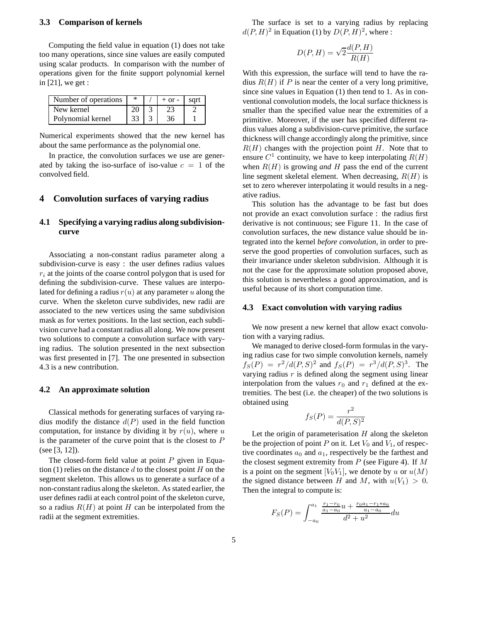#### **3.3 Comparison of kernels**

Computing the field value in equation (1) does not take too many operations, since sine values are easily computed using scalar products. In comparison with the number of operations given for the finite support polynomial kernel in [21], we get :

| Number of operations | ∗ | $+$ or $-$ | sart |
|----------------------|---|------------|------|
| New kernel           |   |            |      |
| Polynomial kernel    |   |            |      |

Numerical experiments showed that the new kernel has about the same performance as the polynomial one.

In practice, the convolution surfaces we use are generated by taking the iso-surface of iso-value  $c = 1$  of the convolved field.

### **4 Convolution surfaces of varying radius**

## **4.1 Specifying a varying radius along subdivisioncurve**

Associating a non-constant radius parameter along a subdivision-curve is easy : the user defines radius values  $r_i$  at the joints of the coarse control polygon that is used for defining the subdivision-curve. These values are interpolated for defining a radius  $r(u)$  at any parameter u along the curve. When the skeleton curve subdivides, new radii are associated to the new vertices using the same subdivision mask as for vertex positions. In the last section, each subdivision curve had a constant radius all along. We now present two solutions to compute a convolution surface with varying radius. The solution presented in the next subsection was first presented in [7]. The one presented in subsection 4.3 is a new contribution.

#### **4.2 An approximate solution**

Classical methods for generating surfaces of varying radius modify the distance  $d(P)$  used in the field function computation, for instance by dividing it by  $r(u)$ , where u is the parameter of the curve point that is the closest to  $P$ (see [3, 12]).

The closed-form field value at point  $P$  given in Equation (1) relies on the distance d to the closest point  $H$  on the segment skeleton. This allows us to generate a surface of a non-constantradius along the skeleton. As stated earlier, the user defines radii at each control point of the skeleton curve, so a radius  $R(H)$  at point H can be interpolated from the radii at the segment extremities.

The surface is set to a varying radius by replacing  $d(P, H)^2$  in Equation (1) by  $D(P, H)^2$ , where :

$$
D(P, H) = \sqrt{2} \frac{d(P, H)}{R(H)}
$$

With this expression, the surface will tend to have the radius  $R(H)$  if P is near the center of a very long primitive, since sine values in Equation (1) then tend to 1. As in conventional convolution models, the local surface thickness is smaller than the specified value near the extremities of a primitive. Moreover, if the user has specified different radius values along a subdivision-curve primitive, the surface thickness will change accordingly along the primitive, since  $R(H)$  changes with the projection point H. Note that to ensure  $C^1$  continuity, we have to keep interpolating  $R(H)$ when  $R(H)$  is growing *and* H pass the end of the current line segment skeletal element. When decreasing,  $R(H)$  is set to zero wherever interpolating it would results in a negative radius.

This solution has the advantage to be fast but does not provide an exact convolution surface : the radius first derivative is not continuous; see Figure 11. In the case of convolution surfaces, the new distance value should be integrated into the kernel *before convolution*, in order to preserve the good properties of convolution surfaces, such as their invariance under skeleton subdivision. Although it is not the case for the approximate solution proposed above, this solution is nevertheless a good approximation, and is useful because of its short computation time.

#### **4.3 Exact convolution with varying radius**

We now present a new kernel that allow exact convolution with a varying radius.

We managed to derive closed-form formulas in the varying radius case for two simple convolution kernels, namely  $f_S(P) = r^2/d(P, S)^2$  and  $f_S(P) = r^3/d(P, S)^3$ . The varying radius  $r$  is defined along the segment using linear interpolation from the values  $r_0$  and  $r_1$  defined at the extremities. The best (i.e. the cheaper) of the two solutions is obtained using

$$
f_S(P) = \frac{r^2}{d(P, S)^2}
$$

Let the origin of parameterisation  $H$  along the skeleton be the projection of point P on it. Let  $V_0$  and  $V_1$ , of respective coordinates  $a_0$  and  $a_1$ , respectively be the farthest and the closest segment extremity from  $P$  (see Figure 4). If  $M$ is a point on the segment  $[V_0V_1]$ , we denote by u or  $u(M)$ the signed distance between H and M, with  $u(V_1) > 0$ . Then the integral to compute is:

$$
F_S(P) = \int_{-a_0}^{a_1} \frac{\frac{r_1 - r_0}{a_1 - a_0} u + \frac{r_0 a_1 - r_1 * a_0}{a_1 - a_0}}{d^2 + u^2} du
$$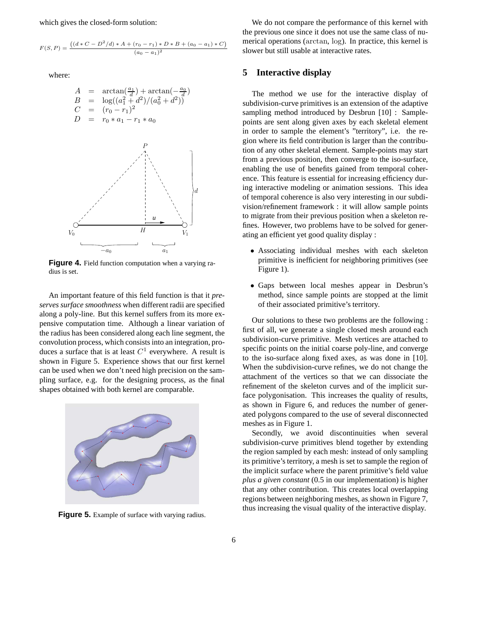which gives the closed-form solution:

$$
F(S, P) = \frac{((d * C - D^2/d) * A + (r_0 - r_1) * D * B + (a_0 - a_1) * C)}{(a_0 - a_1)^2}
$$

where:

$$
A = \arctan(\frac{a_1}{d}) + \arctan(-\frac{a_0}{d})
$$
  
\n
$$
B = \log((a_1^2 + d^2)/(a_0^2 + d^2))
$$
  
\n
$$
C = (r_0 - r_1)^2
$$
  
\n
$$
D = r_0 * a_1 - r_1 * a_0
$$



**Figure 4.** Field function computation when a varying radius is set.

An important feature of this field function is that it *preserves surface smoothness* when different radii are specified along a poly-line. But this kernel suffers from its more expensive computation time. Although a linear variation of the radius has been considered along each line segment, the convolution process, which consists into an integration, produces a surface that is at least  $C^1$  everywhere. A result is shown in Figure 5. Experience shows that our first kernel can be used when we don't need high precision on the sampling surface, e.g. for the designing process, as the final shapes obtained with both kernel are comparable.



**Figure 5.** Example of surface with varying radius.

We do not compare the performance of this kernel with the previous one since it does not use the same class of numerical operations (arctan, log). In practice, this kernel is slower but still usable at interactive rates.

## **5 Interactive display**

The method we use for the interactive display of subdivision-curve primitives is an extension of the adaptive sampling method introduced by Desbrun [10] : Samplepoints are sent along given axes by each skeletal element in order to sample the element's "territory", i.e. the region where its field contribution is larger than the contribution of any other skeletal element. Sample-points may start from a previous position, then converge to the iso-surface, enabling the use of benefits gained from temporal coherence. This feature is essential for increasing efficiency during interactive modeling or animation sessions. This idea of temporal coherence is also very interesting in our subdivision/refinement framework : it will allow sample points to migrate from their previous position when a skeleton refines. However, two problems have to be solved for generating an efficient yet good quality display :

- Associating individual meshes with each skeleton primitive is inefficient for neighboring primitives (see Figure 1).
- Gaps between local meshes appear in Desbrun's method, since sample points are stopped at the limit of their associated primitive's territory.

Our solutions to these two problems are the following : first of all, we generate a single closed mesh around each subdivision-curve primitive. Mesh vertices are attached to specific points on the initial coarse poly-line, and converge to the iso-surface along fixed axes, as was done in [10]. When the subdivision-curve refines, we do not change the attachment of the vertices so that we can dissociate the refinement of the skeleton curves and of the implicit surface polygonisation. This increases the quality of results, as shown in Figure 6, and reduces the number of generated polygons compared to the use of several disconnected meshes as in Figure 1.

Secondly, we avoid discontinuities when several subdivision-curve primitives blend together by extending the region sampled by each mesh: instead of only sampling its primitive's territory, a mesh is set to sample the region of the implicit surface where the parent primitive's field value *plus a given constant* (0.5 in our implementation) is higher that any other contribution. This creates local overlapping regions between neighboring meshes, as shown in Figure 7, thus increasing the visual quality of the interactive display.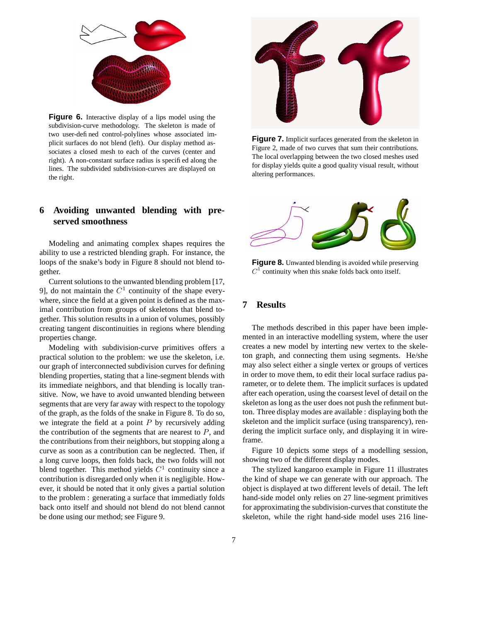

**Figure 6.** Interactive display of a lips model using the subdivision-curve methodology. The skeleton is made of two user-defined control-polylines whose associated implicit surfaces do not blend (left). Our display method associates a closed mesh to each of the curves (center and right). A non-constant surface radius is specified along the lines. The subdivided subdivision-curves are displayed on the right.

## **6 Avoiding unwanted blending with preserved smoothness**

Modeling and animating complex shapes requires the ability to use a restricted blending graph. For instance, the loops of the snake's body in Figure 8 should not blend together.

Current solutions to the unwanted blending problem [17, 9], do not maintain the  $C<sup>1</sup>$  continuity of the shape everywhere, since the field at a given point is defined as the maximal contribution from groups of skeletons that blend together. This solution results in a union of volumes, possibly creating tangent discontinuities in regions where blending properties change.

Modeling with subdivision-curve primitives offers a practical solution to the problem: we use the skeleton, i.e. our graph of interconnected subdivision curves for defining blending properties, stating that a line-segment blends with its immediate neighbors, and that blending is locally transitive. Now, we have to avoid unwanted blending between segments that are very far away with respect to the topology of the graph, as the folds of the snake in Figure 8. To do so, we integrate the field at a point  $P$  by recursively adding the contribution of the segments that are nearest to  $P$ , and the contributions from their neighbors, but stopping along a curve as soon as a contribution can be neglected. Then, if a long curve loops, then folds back, the two folds will not blend together. This method yields  $C<sup>1</sup>$  continuity since a contribution is disregarded only when it is negligible. However, it should be noted that it only gives a partial solution to the problem : generating a surface that immediatly folds back onto itself and should not blend do not blend cannot be done using our method; see Figure 9.



**Figure 7.** Implicit surfaces generated from the skeleton in Figure 2, made of two curves that sum their contributions. The local overlapping between the two closed meshes used for display yields quite a good quality visual result, without altering performances.



**Figure 8.** Unwanted blending is avoided while preserving  $C<sup>1</sup>$  continuity when this snake folds back onto itself.

## **7 Results**

The methods described in this paper have been implemented in an interactive modelling system, where the user creates a new model by interting new vertex to the skeleton graph, and connecting them using segments. He/she may also select either a single vertex or groups of vertices in order to move them, to edit their local surface radius parameter, or to delete them. The implicit surfaces is updated after each operation, using the coarsest level of detail on the skeleton as long as the user does not push the refinment button. Three display modes are available : displaying both the skeleton and the implicit surface (using transparency), rendering the implicit surface only, and displaying it in wireframe.

Figure 10 depicts some steps of a modelling session, showing two of the different display modes.

The stylized kangaroo example in Figure 11 illustrates the kind of shape we can generate with our approach. The object is displayed at two different levels of detail. The left hand-side model only relies on 27 line-segment primitives for approximating the subdivision-curvesthat constitute the skeleton, while the right hand-side model uses 216 line-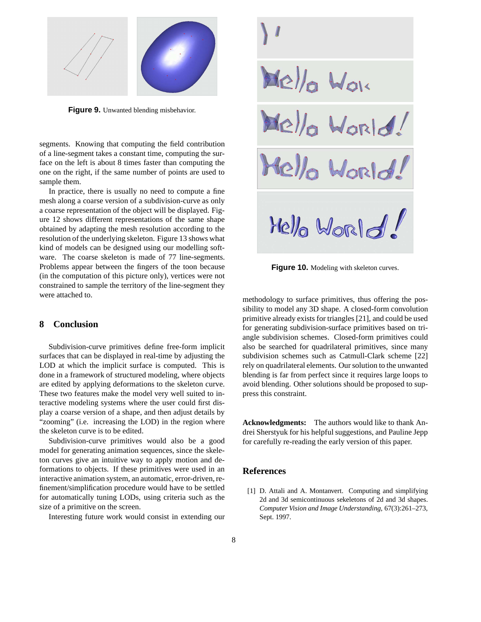

**Figure 9.** Unwanted blending misbehavior.

segments. Knowing that computing the field contribution of a line-segment takes a constant time, computing the surface on the left is about 8 times faster than computing the one on the right, if the same number of points are used to sample them.

In practice, there is usually no need to compute a fine mesh along a coarse version of a subdivision-curve as only a coarse representation of the object will be displayed. Figure 12 shows different representations of the same shape obtained by adapting the mesh resolution according to the resolution of the underlying skeleton. Figure 13 shows what kind of models can be designed using our modelling software. The coarse skeleton is made of 77 line-segments. Problems appear between the fingers of the toon because (in the computation of this picture only), vertices were not constrained to sample the territory of the line-segment they were attached to.

## **8 Conclusion**

Subdivision-curve primitives define free-form implicit surfaces that can be displayed in real-time by adjusting the LOD at which the implicit surface is computed. This is done in a framework of structured modeling, where objects are edited by applying deformations to the skeleton curve. These two features make the model very well suited to interactive modeling systems where the user could first display a coarse version of a shape, and then adjust details by "zooming" (i.e. increasing the LOD) in the region where the skeleton curve is to be edited.

Subdivision-curve primitives would also be a good model for generating animation sequences, since the skeleton curves give an intuitive way to apply motion and deformations to objects. If these primitives were used in an interactive animation system, an automatic, error-driven,refinement/simplification procedure would have to be settled for automatically tuning LODs, using criteria such as the size of a primitive on the screen.

Interesting future work would consist in extending our

Mello World!<br>Mello World!<br>Mello World! Hello World

**Figure 10.** Modeling with skeleton curves.

methodology to surface primitives, thus offering the possibility to model any 3D shape. A closed-form convolution primitive already exists for triangles [21], and could be used for generating subdivision-surface primitives based on triangle subdivision schemes. Closed-form primitives could also be searched for quadrilateral primitives, since many subdivision schemes such as Catmull-Clark scheme [22] rely on quadrilateral elements. Our solution to the unwanted blending is far from perfect since it requires large loops to avoid blending. Other solutions should be proposed to suppress this constraint.

**Acknowledgments:** The authors would like to thank Andrei Sherstyuk for his helpful suggestions, and Pauline Jepp for carefully re-reading the early version of this paper.

## **References**

[1] D. Attali and A. Montanvert. Computing and simplifying 2d and 3d semicontinuous sekeletons of 2d and 3d shapes. *Computer Vision and Image Understanding*, 67(3):261–273, Sept. 1997.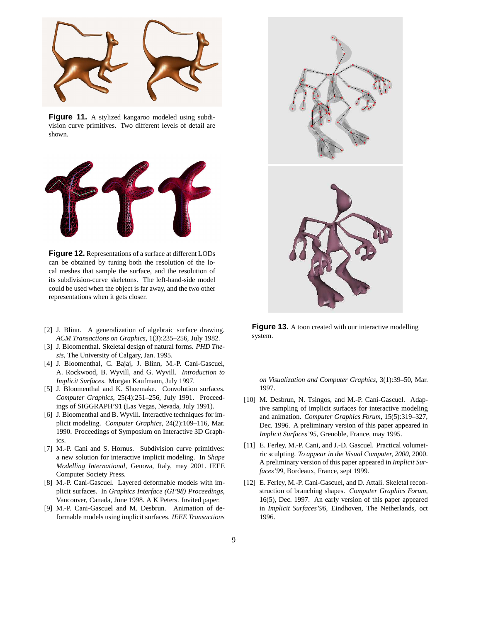

**Figure 11.** A stylized kangaroo modeled using subdivision curve primitives. Two different levels of detail are shown.



**Figure 12.** Representations of a surface at different LODs can be obtained by tuning both the resolution of the local meshes that sample the surface, and the resolution of its subdivision-curve skeletons. The left-hand-side model could be used when the object is far away, and the two other representations when it gets closer.

- [2] J. Blinn. A generalization of algebraic surface drawing. *ACM Transactions on Graphics*, 1(3):235–256, July 1982.
- [3] J. Bloomenthal. Skeletal design of natural forms. *PHD Thesis*, The University of Calgary, Jan. 1995.
- [4] J. Bloomenthal, C. Bajaj, J. Blinn, M.-P. Cani-Gascuel, A. Rockwood, B. Wyvill, and G. Wyvill. *Introduction to Implicit Surfaces*. Morgan Kaufmann, July 1997.
- [5] J. Bloomenthal and K. Shoemake. Convolution surfaces. *Computer Graphics*, 25(4):251–256, July 1991. Proceedings of SIGGRAPH'91 (Las Vegas, Nevada, July 1991).
- [6] J. Bloomenthal and B. Wyvill. Interactive techniques for implicit modeling. *Computer Graphics*, 24(2):109–116, Mar. 1990. Proceedings of Symposium on Interactive 3D Graphics.
- [7] M.-P. Cani and S. Hornus. Subdivision curve primitives: a new solution for interactive implicit modeling. In *Shape Modelling International*, Genova, Italy, may 2001. IEEE Computer Society Press.
- [8] M.-P. Cani-Gascuel. Layered deformable models with implicit surfaces. In *Graphics Interface (GI'98) Proceedings*, Vancouver, Canada, June 1998. A K Peters. Invited paper.
- [9] M.-P. Cani-Gascuel and M. Desbrun. Animation of deformable models using implicit surfaces. *IEEE Transactions*



**Figure 13.** A toon created with our interactive modelling system.

*on Visualization and Computer Graphics*, 3(1):39–50, Mar. 1997.

- [10] M. Desbrun, N. Tsingos, and M.-P. Cani-Gascuel. Adaptive sampling of implicit surfaces for interactive modeling and animation. *Computer Graphics Forum*, 15(5):319–327, Dec. 1996. A preliminary version of this paper appeared in *Implicit Surfaces'95*, Grenoble, France, may 1995.
- [11] E. Ferley, M.-P. Cani, and J.-D. Gascuel. Practical volumetric sculpting. *To appear in the Visual Computer, 2000*, 2000. A preliminary version of this paper appeared in *Implicit Surfaces'99*, Bordeaux, France, sept 1999.
- [12] E. Ferley, M.-P. Cani-Gascuel, and D. Attali. Skeletal reconstruction of branching shapes. *Computer Graphics Forum*, 16(5), Dec. 1997. An early version of this paper appeared in *Implicit Surfaces'96*, Eindhoven, The Netherlands, oct 1996.